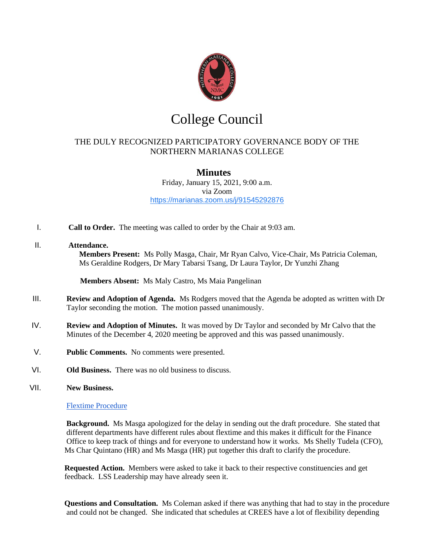

# College Council

## THE DULY RECOGNIZED PARTICIPATORY GOVERNANCE BODY OF THE NORTHERN MARIANAS COLLEGE

## **Minutes**

Friday, January 15, 2021, 9:00 a.m. via Zoom <https://marianas.zoom.us/j/91545292876>

I. **Call to Order.** The meeting was called to order by the Chair at 9:03 am.

### II. **Attendance.**

**Members Present:** Ms Polly Masga, Chair, Mr Ryan Calvo, Vice-Chair, Ms Patricia Coleman, Ms Geraldine Rodgers, Dr Mary Tabarsi Tsang, Dr Laura Taylor, Dr Yunzhi Zhang

**Members Absent:** Ms Maly Castro, Ms Maia Pangelinan

- III. **Review and Adoption of Agenda.** Ms Rodgers moved that the Agenda be adopted as written with Dr Taylor seconding the motion. The motion passed unanimously.
- IV. **Review and Adoption of Minutes.** It was moved by Dr Taylor and seconded by Mr Calvo that the Minutes of the December 4, 2020 meeting be approved and this was passed unanimously.
- V. **Public Comments.** No comments were presented.
- VI. **Old Business.** There was no old business to discuss.
- VII. **New Business.**

#### [Flextime Procedure](https://drive.google.com/file/d/1hvlVN7c4ttBZySreeXKKq3gYm2rpGFw2/view?usp=sharing)

 **Background.** Ms Masga apologized for the delay in sending out the draft procedure. She stated that different departments have different rules about flextime and this makes it difficult for the Finance Office to keep track of things and for everyone to understand how it works. Ms Shelly Tudela (CFO), Ms Char Quintano (HR) and Ms Masga (HR) put together this draft to clarify the procedure.

 **Requested Action.** Members were asked to take it back to their respective constituencies and get feedback. LSS Leadership may have already seen it.

 **Questions and Consultation.** Ms Coleman asked if there was anything that had to stay in the procedure and could not be changed. She indicated that schedules at CREES have a lot of flexibility depending